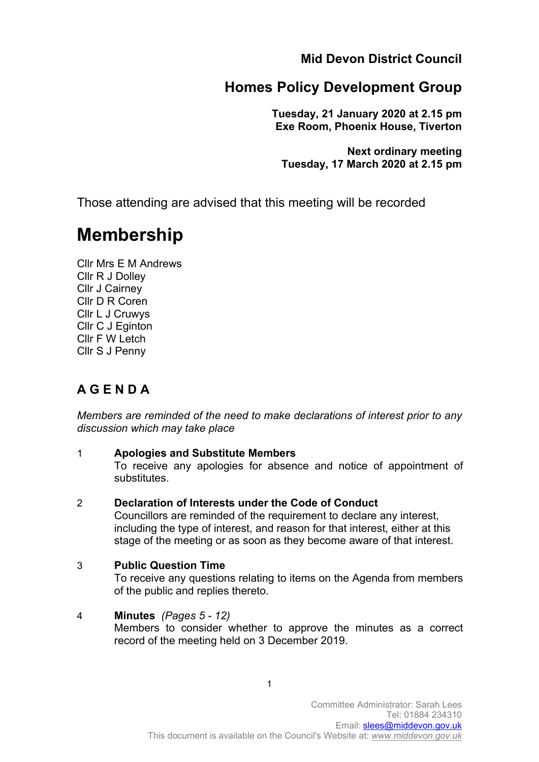**Mid Devon District Council**

# **Homes Policy Development Group**

**Tuesday, 21 January 2020 at 2.15 pm Exe Room, Phoenix House, Tiverton**

**Next ordinary meeting Tuesday, 17 March 2020 at 2.15 pm**

Those attending are advised that this meeting will be recorded

# **Membership**

Cllr Mrs E M Andrews Cllr R J Dolley Cllr J Cairney Cllr D R Coren Cllr L J Cruwys Cllr C J Eginton Cllr F W Letch Cllr S J Penny

## **A G E N D A**

*Members are reminded of the need to make declarations of interest prior to any discussion which may take place*

## 1 **Apologies and Substitute Members**

To receive any apologies for absence and notice of appointment of substitutes.

## 2 **Declaration of Interests under the Code of Conduct**

Councillors are reminded of the requirement to declare any interest, including the type of interest, and reason for that interest, either at this stage of the meeting or as soon as they become aware of that interest.

#### 3 **Public Question Time**

To receive any questions relating to items on the Agenda from members of the public and replies thereto.

#### 4 **Minutes** *(Pages 5 - 12)* Members to consider whether to approve the minutes as a correct record of the meeting held on 3 December 2019.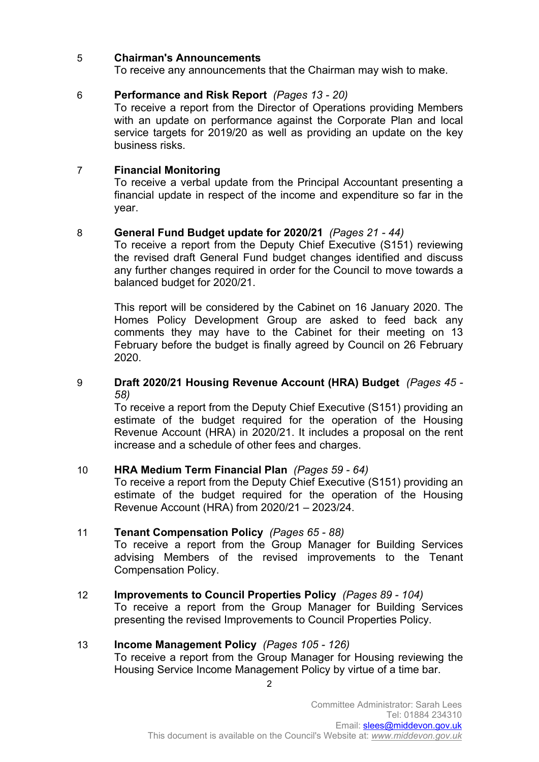#### 5 **Chairman's Announcements**

To receive any announcements that the Chairman may wish to make.

#### 6 **Performance and Risk Report** *(Pages 13 - 20)*

To receive a report from the Director of Operations providing Members with an update on performance against the Corporate Plan and local service targets for 2019/20 as well as providing an update on the key business risks.

#### 7 **Financial Monitoring**

To receive a verbal update from the Principal Accountant presenting a financial update in respect of the income and expenditure so far in the year.

#### 8 **General Fund Budget update for 2020/21** *(Pages 21 - 44)*

To receive a report from the Deputy Chief Executive (S151) reviewing the revised draft General Fund budget changes identified and discuss any further changes required in order for the Council to move towards a balanced budget for 2020/21.

This report will be considered by the Cabinet on 16 January 2020. The Homes Policy Development Group are asked to feed back any comments they may have to the Cabinet for their meeting on 13 February before the budget is finally agreed by Council on 26 February 2020.

#### 9 **Draft 2020/21 Housing Revenue Account (HRA) Budget** *(Pages 45 - 58)*

To receive a report from the Deputy Chief Executive (S151) providing an estimate of the budget required for the operation of the Housing Revenue Account (HRA) in 2020/21. It includes a proposal on the rent increase and a schedule of other fees and charges.

#### 10 **HRA Medium Term Financial Plan** *(Pages 59 - 64)*

To receive a report from the Deputy Chief Executive (S151) providing an estimate of the budget required for the operation of the Housing Revenue Account (HRA) from 2020/21 – 2023/24.

#### 11 **Tenant Compensation Policy** *(Pages 65 - 88)*

To receive a report from the Group Manager for Building Services advising Members of the revised improvements to the Tenant Compensation Policy.

12 **Improvements to Council Properties Policy** *(Pages 89 - 104)* To receive a report from the Group Manager for Building Services presenting the revised Improvements to Council Properties Policy.

#### 13 **Income Management Policy** *(Pages 105 - 126)*

To receive a report from the Group Manager for Housing reviewing the Housing Service Income Management Policy by virtue of a time bar.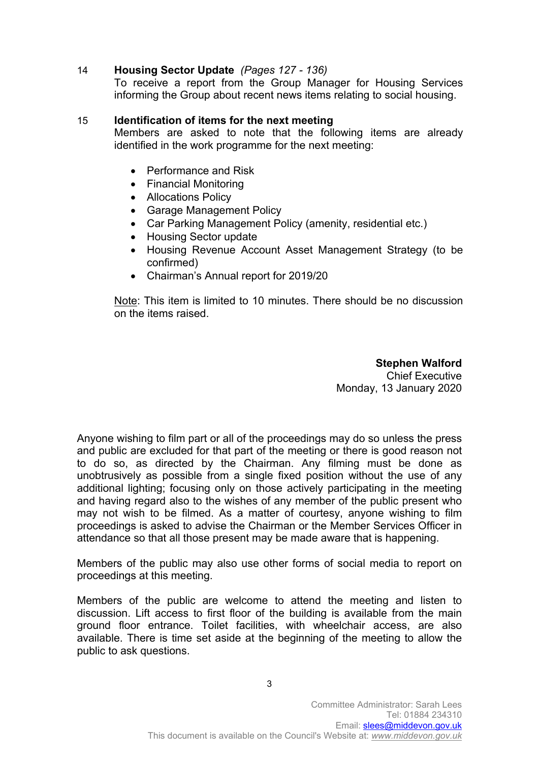#### 14 **Housing Sector Update** *(Pages 127 - 136)*

To receive a report from the Group Manager for Housing Services informing the Group about recent news items relating to social housing.

#### 15 **Identification of items for the next meeting**

Members are asked to note that the following items are already identified in the work programme for the next meeting:

- Performance and Risk
- Financial Monitoring
- Allocations Policy
- Garage Management Policy
- Car Parking Management Policy (amenity, residential etc.)
- Housing Sector update
- Housing Revenue Account Asset Management Strategy (to be confirmed)
- Chairman's Annual report for 2019/20

Note: This item is limited to 10 minutes. There should be no discussion on the items raised.

> **Stephen Walford** Chief Executive Monday, 13 January 2020

Anyone wishing to film part or all of the proceedings may do so unless the press and public are excluded for that part of the meeting or there is good reason not to do so, as directed by the Chairman. Any filming must be done as unobtrusively as possible from a single fixed position without the use of any additional lighting; focusing only on those actively participating in the meeting and having regard also to the wishes of any member of the public present who may not wish to be filmed. As a matter of courtesy, anyone wishing to film proceedings is asked to advise the Chairman or the Member Services Officer in attendance so that all those present may be made aware that is happening.

Members of the public may also use other forms of social media to report on proceedings at this meeting.

Members of the public are welcome to attend the meeting and listen to discussion. Lift access to first floor of the building is available from the main ground floor entrance. Toilet facilities, with wheelchair access, are also available. There is time set aside at the beginning of the meeting to allow the public to ask questions.